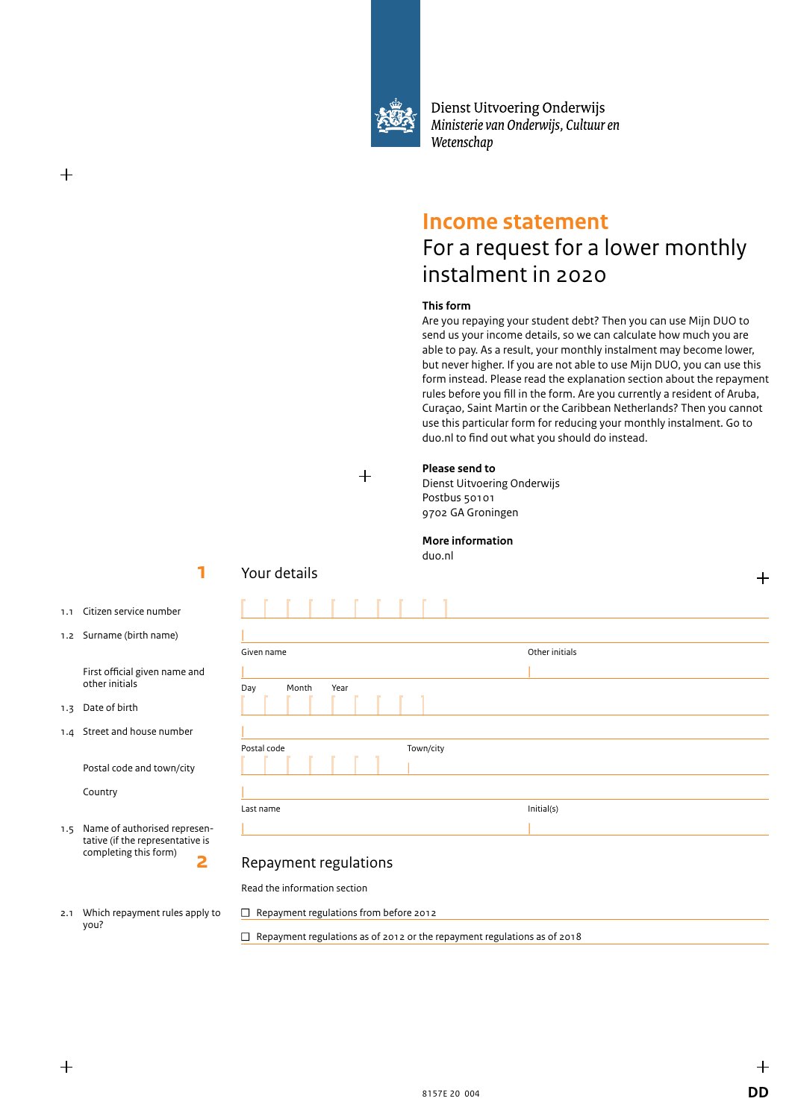

Dienst Uitvoering Onderwijs Ministerie van Onderwijs, Cultuur en Wetenschap

## **Income statement**

## For a request for a lower monthly instalment in 2020

### **This form**

Are you repaying your student debt? Then you can use Mijn DUO to send us your income details, so we can calculate how much you are able to pay. As a result, your monthly instalment may become lower, but never higher. If you are not able to use Mijn DUO, you can use this form instead. Please read the explanation section about the repayment rules before you fill in the form. Are you currently a resident of Aruba, Curaçao, Saint Martin or the Caribbean Netherlands? Then you cannot use this particular form for reducing your monthly instalment. Go to duo.nl to find out what you should do instead.

 $+$ 

#### **Please send to**

Dienst Uitvoering Onderwijs Postbus 50101 9702 GA Groningen

#### **More information**

duo.nl

Given name **Other initials** 

| |

|

Last name Initial(s) | |

1.1 Citizen service number

**1**

1.2 Surname (birth name)

 First official given name and other initials

1.3 Date of birth

 $^{+}$ 

1.4 Street and house number

Postal code and town/city

Country

you?

1.5 Name of authorised representative (if the representative is completing this form) **2**

## Repayment regulations

Postal code Town Town / City

Read the information section

2.1 Which repayment rules apply to  $\Box$  Repayment regulations from before 2012

|

 $\Box$  Repayment regulations as of 2012 or the repayment regulations as of 2018

Your details

Day Month Year

|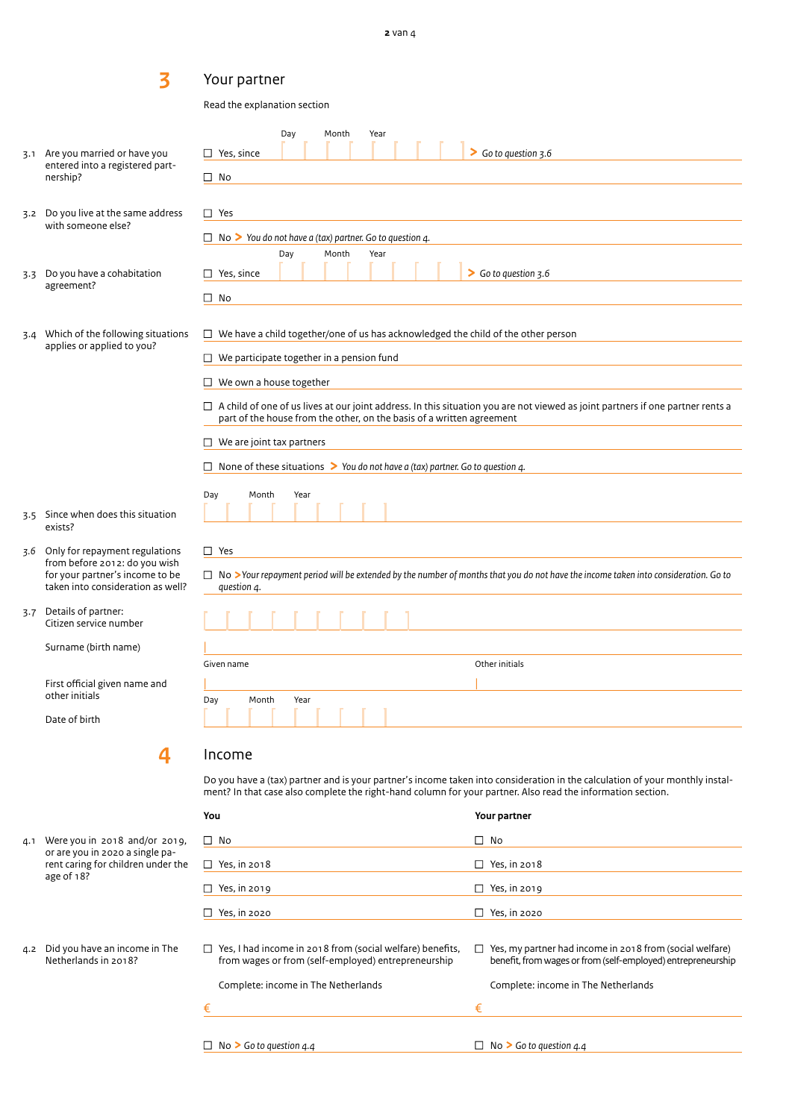## Your partner

**3** 

Read the explanation section

|                                                                                                                                                                                                                                                            | 3.1 Are you married or have you                                                                       | Day<br>Month<br>Year<br>So to question 3.6<br>$\Box$ Yes, since                                                                                                                                                |  |  |  |  |
|------------------------------------------------------------------------------------------------------------------------------------------------------------------------------------------------------------------------------------------------------------|-------------------------------------------------------------------------------------------------------|----------------------------------------------------------------------------------------------------------------------------------------------------------------------------------------------------------------|--|--|--|--|
|                                                                                                                                                                                                                                                            | entered into a registered part-<br>nership?                                                           | $\Box$ No                                                                                                                                                                                                      |  |  |  |  |
|                                                                                                                                                                                                                                                            | 3.2 Do you live at the same address                                                                   | $\Box$ Yes                                                                                                                                                                                                     |  |  |  |  |
|                                                                                                                                                                                                                                                            | with someone else?                                                                                    | $\Box$ No $\triangleright$ You do not have a (tax) partner. Go to question 4.                                                                                                                                  |  |  |  |  |
|                                                                                                                                                                                                                                                            |                                                                                                       | Day<br>Month<br>Year                                                                                                                                                                                           |  |  |  |  |
| 3.3                                                                                                                                                                                                                                                        | Do you have a cohabitation<br>agreement?                                                              | Go to question 3.6<br>$\Box$ Yes, since                                                                                                                                                                        |  |  |  |  |
|                                                                                                                                                                                                                                                            |                                                                                                       | $\square$ No                                                                                                                                                                                                   |  |  |  |  |
| 3.4                                                                                                                                                                                                                                                        | Which of the following situations<br>applies or applied to you?                                       | $\Box$ We have a child together/one of us has acknowledged the child of the other person                                                                                                                       |  |  |  |  |
|                                                                                                                                                                                                                                                            |                                                                                                       | $\Box$ We participate together in a pension fund                                                                                                                                                               |  |  |  |  |
|                                                                                                                                                                                                                                                            |                                                                                                       | $\Box$ We own a house together                                                                                                                                                                                 |  |  |  |  |
|                                                                                                                                                                                                                                                            |                                                                                                       | $\Box$ A child of one of us lives at our joint address. In this situation you are not viewed as joint partners if one partner rents a<br>part of the house from the other, on the basis of a written agreement |  |  |  |  |
|                                                                                                                                                                                                                                                            |                                                                                                       | $\Box$ We are joint tax partners                                                                                                                                                                               |  |  |  |  |
|                                                                                                                                                                                                                                                            |                                                                                                       | $\Box$ None of these situations > You do not have a (tax) partner. Go to question 4.                                                                                                                           |  |  |  |  |
| 3.5                                                                                                                                                                                                                                                        | Since when does this situation<br>exists?                                                             | Day<br>Month<br>Year                                                                                                                                                                                           |  |  |  |  |
| 3.6                                                                                                                                                                                                                                                        | Only for repayment regulations                                                                        | $\Box$ Yes                                                                                                                                                                                                     |  |  |  |  |
|                                                                                                                                                                                                                                                            | from before 2012: do you wish<br>for your partner's income to be<br>taken into consideration as well? | $\Box$ No >Your repayment period will be extended by the number of months that you do not have the income taken into consideration. Go to<br>question 4.                                                       |  |  |  |  |
| 3.7                                                                                                                                                                                                                                                        | Details of partner:<br>Citizen service number                                                         |                                                                                                                                                                                                                |  |  |  |  |
|                                                                                                                                                                                                                                                            | Surname (birth name)                                                                                  |                                                                                                                                                                                                                |  |  |  |  |
|                                                                                                                                                                                                                                                            |                                                                                                       | Other initials<br>Given name                                                                                                                                                                                   |  |  |  |  |
|                                                                                                                                                                                                                                                            | First official given name and<br>other initials                                                       | Month<br>Year<br>Day                                                                                                                                                                                           |  |  |  |  |
| Date of birth                                                                                                                                                                                                                                              |                                                                                                       | .                                                                                                                                                                                                              |  |  |  |  |
| Income<br>4<br>Do you have a (tax) partner and is your partner's income taken into consideration in the calculation of your monthly instal-<br>ment? In that case also complete the right-hand column for your partner. Also read the information section. |                                                                                                       |                                                                                                                                                                                                                |  |  |  |  |
|                                                                                                                                                                                                                                                            |                                                                                                       |                                                                                                                                                                                                                |  |  |  |  |

- 4.1 Were you in 2018 and/or 2019, or are you in 2020 a single parent caring for children under the age of 18?
- 4.2 Did you have an income in The Netherlands in 2018?

| $\Box$ No           | No                  |
|---------------------|---------------------|
| $\Box$ Yes, in 2018 | $\Box$ Yes, in 2018 |
| $\Box$ Yes, in 2019 | $\Box$ Yes, in 2019 |
| $\Box$ Yes, in 2020 | $\Box$ Yes, in 2020 |

 $\Box$  Yes, I had income in 2018 from (social welfare) benefits,  $\Box$  Yes, my partner had income in 2018 from (social welfare) from wages or from (self-employed) entrepreneurship from wages or from (self-employed) entrepren

|   | Complete: income in The Netherlands | Complete: income in The Netherlands |
|---|-------------------------------------|-------------------------------------|
| € |                                     |                                     |
|   |                                     |                                     |

benefit, from wages or from (self-employed) entrepreneurship

<sup>n</sup> No **>** *Go to question 4.4* <sup>n</sup> No **>** *Go to question 4.4*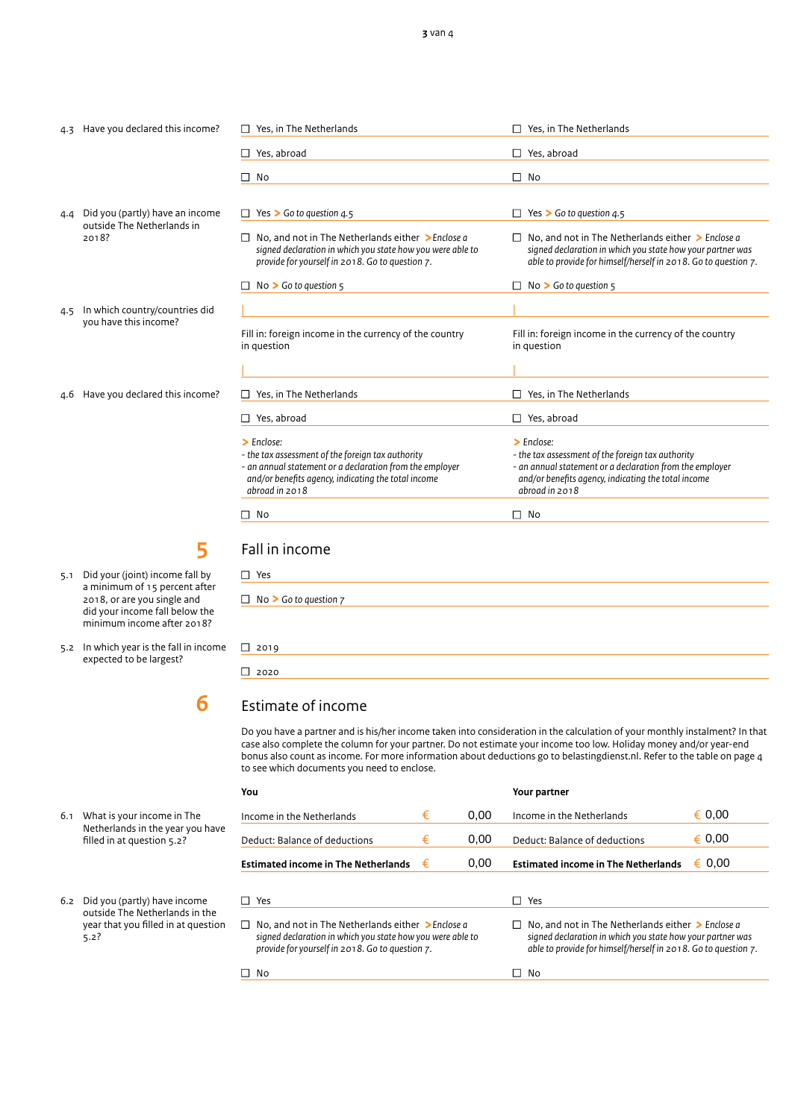$\Box$  Yes, in The Netherlands  $\Box$  Yes, in The Netherlands

#### 4.3 Have you declared this income?

- 4.4 Did you (partly) have an income outside The Netherlands in 2018?
- 4.5 In which country/countries did you have this income?
- 4.6 Have you declared this income?

5.1 Did your (joint) income fall by a minimum of 15 percent after 2018, or are you single and did your income fall below the minimum income after 2018?

**5** 

5.2 In which year is the fall in income expected to be largest?

## Estimate of income

Do you have a partner and is his/her income taken into consideration in the calculation of your monthly instalment? In that case also complete the column for your partner. Do not estimate your income too low. Holiday money and/or year-end bonus also count as income. For more information about deductions go to belastingdienst.nl. Refer to the table on page 4 to see which documents you need to enclose.

| You                                                                                                                                                                     |   |      | Your partner                                                                                                                                                                                      |        |  |
|-------------------------------------------------------------------------------------------------------------------------------------------------------------------------|---|------|---------------------------------------------------------------------------------------------------------------------------------------------------------------------------------------------------|--------|--|
| Income in the Netherlands                                                                                                                                               | € | 0.00 | Income in the Netherlands                                                                                                                                                                         | € 0.00 |  |
| Deduct: Balance of deductions                                                                                                                                           | € | 0,00 | Deduct: Balance of deductions                                                                                                                                                                     | € 0.00 |  |
| <b>Estimated income in The Netherlands</b>                                                                                                                              | € | 0.00 | <b>Estimated income in The Netherlands</b>                                                                                                                                                        | € 0.00 |  |
|                                                                                                                                                                         |   |      |                                                                                                                                                                                                   |        |  |
| Yes                                                                                                                                                                     |   |      | Yes                                                                                                                                                                                               |        |  |
| No. and not in The Netherlands either $\geq$ Enclose a<br>signed declaration in which you state how you were able to<br>provide for yourself in 2018. Go to question 7. |   |      | No. and not in The Netherlands either $\geq$ Enclose a<br>$\perp$<br>signed declaration in which you state how your partner was<br>able to provide for himself/herself in 2018. Go to question 7. |        |  |
| No                                                                                                                                                                      |   |      | No                                                                                                                                                                                                |        |  |

#### 6.1 What is your income in The Netherlands in the year you have filled in at question 5.2?

6.2 Did you (partly) have income outside The Netherlands in the year that you filled in at question 5.2?

| Yes, abroad                                                                                                                                                                                               | Yes, abroad                                                                                                                                                                                               |  |  |
|-----------------------------------------------------------------------------------------------------------------------------------------------------------------------------------------------------------|-----------------------------------------------------------------------------------------------------------------------------------------------------------------------------------------------------------|--|--|
| No                                                                                                                                                                                                        | п<br>No                                                                                                                                                                                                   |  |  |
|                                                                                                                                                                                                           |                                                                                                                                                                                                           |  |  |
| Yes $\triangleright$ Go to question 4.5                                                                                                                                                                   | Yes $\triangleright$ Go to question 4.5                                                                                                                                                                   |  |  |
| No. and not in The Netherlands either $\geq$ Enclose a<br>signed declaration in which you state how you were able to<br>provide for yourself in 2018. Go to question 7.                                   | No, and not in The Netherlands either $\geq$ Enclose a<br>signed declaration in which you state how your partner was<br>able to provide for himself/herself in 2018. Go to question 7.                    |  |  |
| $No > Go$ to question $5$                                                                                                                                                                                 | $No > Go$ to question $5$                                                                                                                                                                                 |  |  |
|                                                                                                                                                                                                           |                                                                                                                                                                                                           |  |  |
| Fill in: foreign income in the currency of the country<br>in question                                                                                                                                     | Fill in: foreign income in the currency of the country<br>in question                                                                                                                                     |  |  |
|                                                                                                                                                                                                           |                                                                                                                                                                                                           |  |  |
| Yes, in The Netherlands                                                                                                                                                                                   | Yes, in The Netherlands                                                                                                                                                                                   |  |  |
| Yes, abroad                                                                                                                                                                                               | $\Box$ Yes, abroad                                                                                                                                                                                        |  |  |
| $\sum$ Fnclose:<br>- the tax assessment of the foreign tax authority<br>- an annual statement or a declaration from the employer<br>and/or benefits agency, indicating the total income<br>abroad in 2018 | $\sum$ Fnclose:<br>- the tax assessment of the foreign tax authority<br>- an annual statement or a declaration from the employer<br>and/or benefits agency, indicating the total income<br>abroad in 2018 |  |  |
| No                                                                                                                                                                                                        | No<br>LΙ                                                                                                                                                                                                  |  |  |

# Fall in income

| $\Box$ Yes                        |
|-----------------------------------|
| $\Box$ No > Go to question $\Box$ |
|                                   |
| $\Box$ 2019                       |

 $\Box$  2020

**6**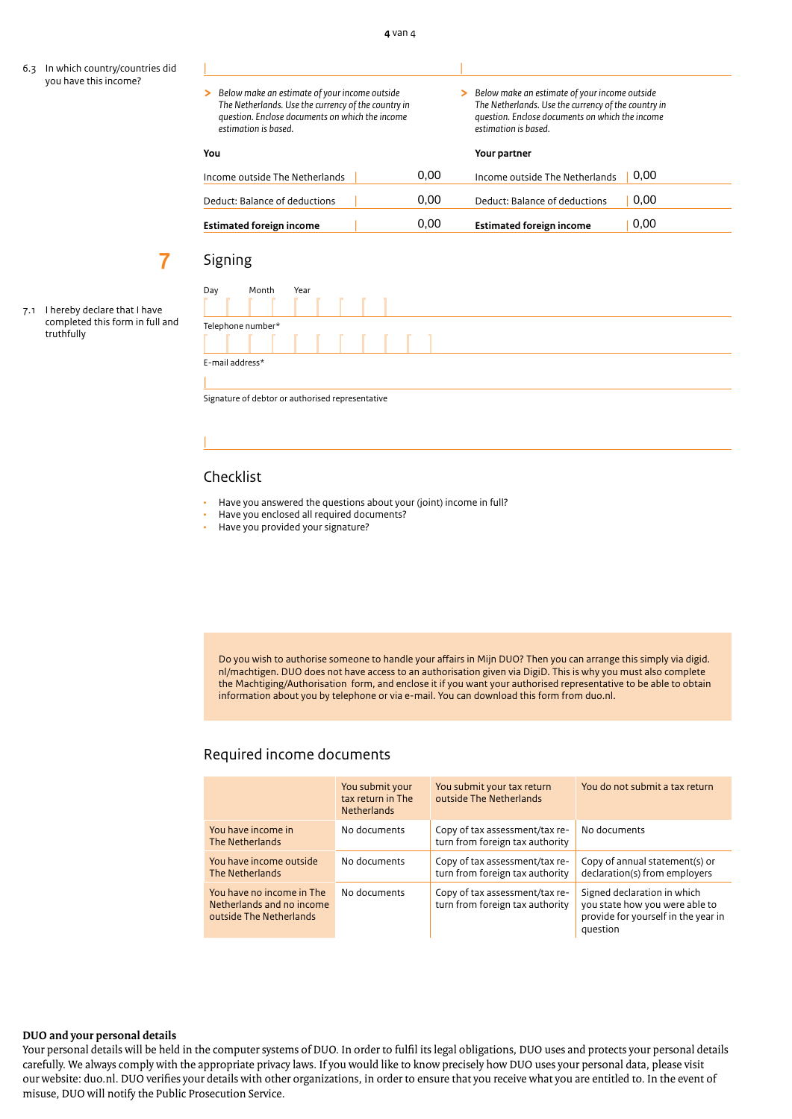6.3 In which country/countries did you have this income?

7.1 I hereby declare that I have completed this form in full and

truthfully

**7**

| Below make an estimate of your income outside<br>⋗<br>The Netherlands. Use the currency of the country in<br>question. Enclose documents on which the income<br>estimation is based. |      | Below make an estimate of your income outside<br>The Netherlands. Use the currency of the country in<br>question. Enclose documents on which the income<br>estimation is based. |  |  |
|--------------------------------------------------------------------------------------------------------------------------------------------------------------------------------------|------|---------------------------------------------------------------------------------------------------------------------------------------------------------------------------------|--|--|
| You                                                                                                                                                                                  |      | Your partner                                                                                                                                                                    |  |  |
| Income outside The Netherlands                                                                                                                                                       | 0.00 | 0.00<br>Income outside The Netherlands                                                                                                                                          |  |  |
| Deduct: Balance of deductions                                                                                                                                                        | 0.00 | 0.00<br>Deduct: Balance of deductions                                                                                                                                           |  |  |
| <b>Estimated foreign income</b>                                                                                                                                                      | 0.00 | 0.00<br><b>Estimated foreign income</b>                                                                                                                                         |  |  |

## Signing

Day Month Year Telephone number\* E-mail address\* |

Signature of debtor or authorised representative

## Checklist

|

- Have you answered the questions about your (joint) income in full?
- Have you enclosed all required documents?
- Have you provided your signature?

Do you wish to authorise someone to handle your affairs in Mijn DUO? Then you can arrange this simply via digid. nl/machtigen. DUO does not have access to an authorisation given via DigiD. This is why you must also complete the Machtiging/Authorisation form, and enclose it if you want your authorised representative to be able to obtain information about you by telephone or via e-mail. You can download this form from duo.nl.

## Required income documents

|                                                                                   | You submit your<br>tax return in The<br><b>Netherlands</b> | You submit your tax return<br>outside The Netherlands             | You do not submit a tax return                                                                                   |
|-----------------------------------------------------------------------------------|------------------------------------------------------------|-------------------------------------------------------------------|------------------------------------------------------------------------------------------------------------------|
| You have income in<br>The Netherlands                                             | No documents                                               | Copy of tax assessment/tax re-<br>turn from foreign tax authority | No documents                                                                                                     |
| You have income outside<br>The Netherlands                                        | No documents                                               | Copy of tax assessment/tax re-<br>turn from foreign tax authority | Copy of annual statement(s) or<br>declaration(s) from employers                                                  |
| You have no income in The<br>Netherlands and no income<br>outside The Netherlands | No documents                                               | Copy of tax assessment/tax re-<br>turn from foreign tax authority | Signed declaration in which<br>you state how you were able to<br>provide for yourself in the year in<br>question |

#### **DUO and your personal details**

Your personal details will be held in the computer systems of DUO. In order to fulfil its legal obligations, DUO uses and protects your personal details carefully. We always comply with the appropriate privacy laws. If you would like to know precisely how DUO uses your personal data, please visit our website: duo.nl. DUO verifies your details with other organizations, in order to ensure that you receive what you are entitled to. In the event of misuse, DUO will notify the Public Prosecution Service.

| |